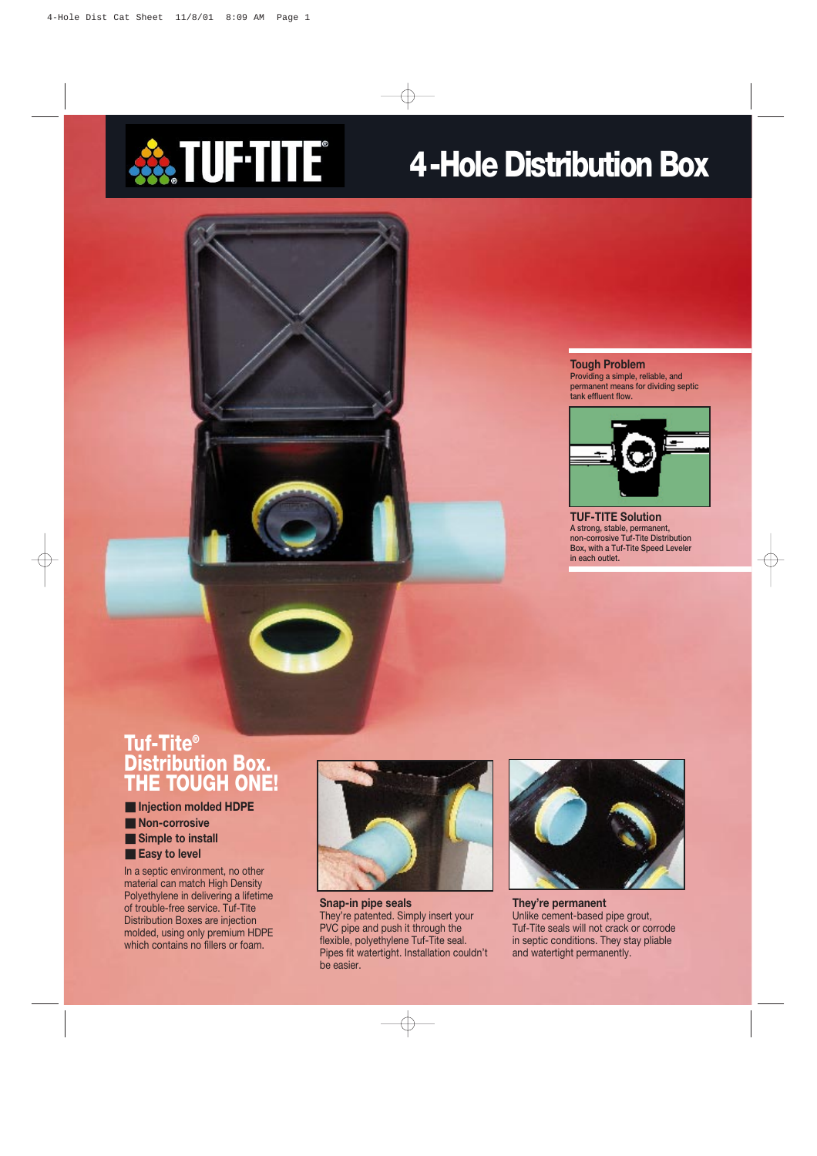

# **4-Hole Distribution Box**

#### **Tough Problem**

**Providing a simple, reliable, and permanent means for dividing septic tank effluent flow.**



**TUF-TITE Solution A strong, stable, permanent, non-corrosive Tuf-Tite Distribution Box, with a Tuf-Tite Speed Leveler in each outlet.**

## **Tuf-Tite® Distribution Box. THE TOUGH ONE!**

- **Injection molded HDPE**
- **Non-corrosive**
- **Simple to install**
- **Easy to level**

In a septic environment, no other material can match High Density Polyethylene in delivering a lifetime of trouble-free service. Tuf-Tite Distribution Boxes are injection molded, using only premium HDPE which contains no fillers or foam.



**Snap-in pipe seals** They're patented. Simply insert your PVC pipe and push it through the flexible, polyethylene Tuf-Tite seal. Pipes fit watertight. Installation couldn't be easier.



**They're permanent** Unlike cement-based pipe grout, Tuf-Tite seals will not crack or corrode in septic conditions. They stay pliable and watertight permanently.